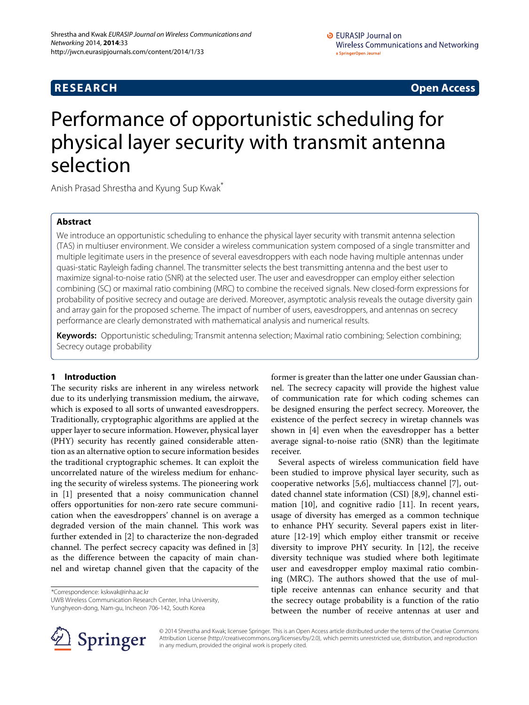# **RESEARCH Open Access**

# Performance of opportunistic scheduling for physical layer security with transmit antenna selection

Anish Prasad Shrestha and Kyung Sup Kwak\*

# **Abstract**

We introduce an opportunistic scheduling to enhance the physical layer security with transmit antenna selection (TAS) in multiuser environment. We consider a wireless communication system composed of a single transmitter and multiple legitimate users in the presence of several eavesdroppers with each node having multiple antennas under quasi-static Rayleigh fading channel. The transmitter selects the best transmitting antenna and the best user to maximize signal-to-noise ratio (SNR) at the selected user. The user and eavesdropper can employ either selection combining (SC) or maximal ratio combining (MRC) to combine the received signals. New closed-form expressions for probability of positive secrecy and outage are derived. Moreover, asymptotic analysis reveals the outage diversity gain and array gain for the proposed scheme. The impact of number of users, eavesdroppers, and antennas on secrecy performance are clearly demonstrated with mathematical analysis and numerical results.

**Keywords:** Opportunistic scheduling; Transmit antenna selection; Maximal ratio combining; Selection combining; Secrecy outage probability

## **1 Introduction**

The security risks are inherent in any wireless network due to its underlying transmission medium, the airwave, which is exposed to all sorts of unwanted eavesdroppers. Traditionally, cryptographic algorithms are applied at the upper layer to secure information. However, physical layer (PHY) security has recently gained considerable attention as an alternative option to secure information besides the traditional cryptographic schemes. It can exploit the uncorrelated nature of the wireless medium for enhancing the security of wireless systems. The pioneering work in [\[1\]](#page-8-0) presented that a noisy communication channel offers opportunities for non-zero rate secure communication when the eavesdroppers' channel is on average a degraded version of the main channel. This work was further extended in [\[2\]](#page-8-1) to characterize the non-degraded channel. The perfect secrecy capacity was defined in [\[3\]](#page-8-2) as the difference between the capacity of main channel and wiretap channel given that the capacity of the

\*Correspondence: [kskwak@inha.ac.kr](mailto:kskwak@inha.ac.kr)

UWB Wireless Communication Research Center, Inha University, Yunghyeon-dong, Nam-gu, Incheon 706-142, South Korea

former is greater than the latter one under Gaussian channel. The secrecy capacity will provide the highest value of communication rate for which coding schemes can be designed ensuring the perfect secrecy. Moreover, the existence of the perfect secrecy in wiretap channels was shown in [\[4\]](#page-8-3) even when the eavesdropper has a better average signal-to-noise ratio (SNR) than the legitimate receiver.

Several aspects of wireless communication field have been studied to improve physical layer security, such as cooperative networks [\[5,](#page-8-4)[6\]](#page-8-5), multiaccess channel [\[7\]](#page-8-6), outdated channel state information (CSI) [\[8,](#page-8-7)[9\]](#page-8-8), channel estimation [\[10\]](#page-8-9), and cognitive radio [\[11\]](#page-8-10). In recent years, usage of diversity has emerged as a common technique to enhance PHY security. Several papers exist in literature [12-19] which employ either transmit or receive diversity to improve PHY security. In [\[12\]](#page-8-11), the receive diversity technique was studied where both legitimate user and eavesdropper employ maximal ratio combining (MRC). The authors showed that the use of multiple receive antennas can enhance security and that the secrecy outage probability is a function of the ratio between the number of receive antennas at user and



© 2014 Shrestha and Kwak; licensee Springer. This is an Open Access article distributed under the terms of the Creative Commons Attribution License [\(http://creativecommons.org/licenses/by/2.0\)](http://creativecommons.org/licenses/by/2.0), which permits unrestricted use, distribution, and reproduction in any medium, provided the original work is properly cited.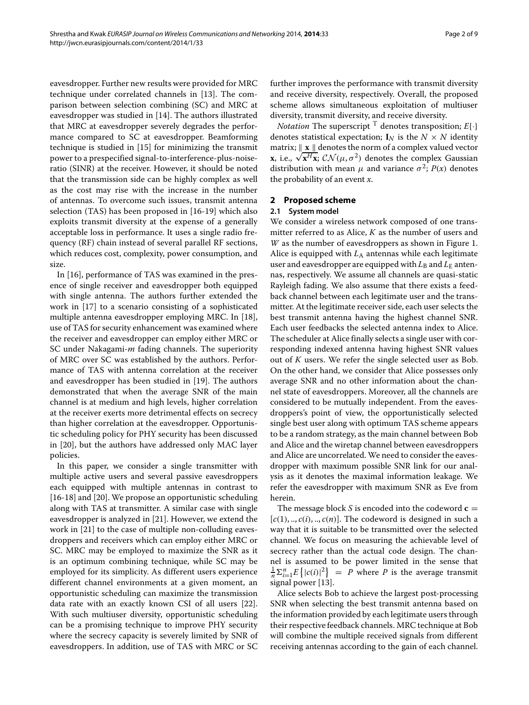eavesdropper. Further new results were provided for MRC technique under correlated channels in [\[13\]](#page-8-12). The comparison between selection combining (SC) and MRC at eavesdropper was studied in [\[14\]](#page-8-13). The authors illustrated that MRC at eavesdropper severely degrades the performance compared to SC at eavesdropper. Beamforming technique is studied in [\[15\]](#page-8-14) for minimizing the transmit power to a prespecified signal-to-interference-plus-noiseratio (SINR) at the receiver. However, it should be noted that the transmission side can be highly complex as well as the cost may rise with the increase in the number of antennas. To overcome such issues, transmit antenna selection (TAS) has been proposed in [16-19] which also exploits transmit diversity at the expense of a generally acceptable loss in performance. It uses a single radio frequency (RF) chain instead of several parallel RF sections, which reduces cost, complexity, power consumption, and size.

In [\[16\]](#page-8-15), performance of TAS was examined in the presence of single receiver and eavesdropper both equipped with single antenna. The authors further extended the work in [\[17\]](#page-8-16) to a scenario consisting of a sophisticated multiple antenna eavesdropper employing MRC. In [\[18\]](#page-8-17), use of TAS for security enhancement was examined where the receiver and eavesdropper can employ either MRC or SC under Nakagami-*m* fading channels. The superiority of MRC over SC was established by the authors. Performance of TAS with antenna correlation at the receiver and eavesdropper has been studied in [\[19\]](#page-8-18). The authors demonstrated that when the average SNR of the main channel is at medium and high levels, higher correlation at the receiver exerts more detrimental effects on secrecy than higher correlation at the eavesdropper. Opportunistic scheduling policy for PHY security has been discussed in [\[20\]](#page-8-19), but the authors have addressed only MAC layer policies.

In this paper, we consider a single transmitter with multiple active users and several passive eavesdroppers each equipped with multiple antennas in contrast to [16-18] and [\[20\]](#page-8-19). We propose an opportunistic scheduling along with TAS at transmitter. A similar case with single eavesdropper is analyzed in [\[21\]](#page-8-20). However, we extend the work in [\[21\]](#page-8-20) to the case of multiple non-colluding eavesdroppers and receivers which can employ either MRC or SC. MRC may be employed to maximize the SNR as it is an optimum combining technique, while SC may be employed for its simplicity. As different users experience different channel environments at a given moment, an opportunistic scheduling can maximize the transmission data rate with an exactly known CSI of all users [\[22\]](#page-8-21). With such multiuser diversity, opportunistic scheduling can be a promising technique to improve PHY security where the secrecy capacity is severely limited by SNR of eavesdroppers. In addition, use of TAS with MRC or SC further improves the performance with transmit diversity and receive diversity, respectively. Overall, the proposed scheme allows simultaneous exploitation of multiuser diversity, transmit diversity, and receive diversity.

*Notation* The superscript <sup>T</sup> denotes transposition;  $E\{\cdot\}$ denotes statistical expectation;  $I_N$  is the  $N \times N$  identity matrix;  $\|\mathbf{x}\|$  denotes the norm of a complex valued vector<br>**x** i.e.  $\sqrt{\mathbf{x}^{H}\mathbf{x}}$ ;  $CN(u,\sigma^{2})$  denotes the complex Gaussian **x**, i.e.,  $\sqrt{\mathbf{x}^H \mathbf{x}}$ ;  $\mathcal{CN}(\mu, \sigma^2)$  denotes the complex Gaussian distribution with mean  $\mu$  and variance  $\sigma^2$ .  $P(x)$  denotes distribution with mean  $\mu$  and variance  $\sigma^2$ ;  $P(x)$  denotes the probability of an event *x*.

# **2 Proposed scheme**

## **2.1 System model**

We consider a wireless network composed of one transmitter referred to as Alice, *K* as the number of users and *W* as the number of eavesdroppers as shown in Figure [1.](#page-2-0) Alice is equipped with  $L_A$  antennas while each legitimate user and eavesdropper are equipped with  $L_B$  and  $L_E$  antennas, respectively. We assume all channels are quasi-static Rayleigh fading. We also assume that there exists a feedback channel between each legitimate user and the transmitter. At the legitimate receiver side, each user selects the best transmit antenna having the highest channel SNR. Each user feedbacks the selected antenna index to Alice. The scheduler at Alice finally selects a single user with corresponding indexed antenna having highest SNR values out of *K* users. We refer the single selected user as Bob. On the other hand, we consider that Alice possesses only average SNR and no other information about the channel state of eavesdroppers. Moreover, all the channels are considered to be mutually independent. From the eavesdroppers's point of view, the opportunistically selected single best user along with optimum TAS scheme appears to be a random strategy, as the main channel between Bob and Alice and the wiretap channel between eavesdroppers and Alice are uncorrelated. We need to consider the eavesdropper with maximum possible SNR link for our analysis as it denotes the maximal information leakage. We refer the eavesdropper with maximum SNR as Eve from herein.

The message block *S* is encoded into the codeword  $\mathbf{c} =$  $[c(1), ..., c(i), ..., c(n)]$ . The codeword is designed in such a way that it is suitable to be transmitted over the selected channel. We focus on measuring the achievable level of secrecy rather than the actual code design. The channel is assumed to be power limited in the sense that  $\frac{1}{n}\sum_{i=1}^{n}E\left\{|c(i)|^2\right\} = P$  where *P* is the average transmit signal power [\[13\]](#page-8-12).

Alice selects Bob to achieve the largest post-processing SNR when selecting the best transmit antenna based on the information provided by each legitimate users through their respective feedback channels. MRC technique at Bob will combine the multiple received signals from different receiving antennas according to the gain of each channel.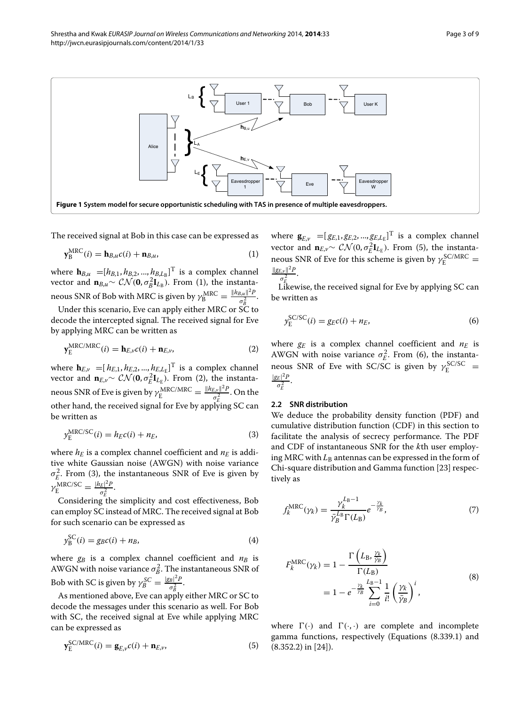

<span id="page-2-0"></span>The received signal at Bob in this case can be expressed as

$$
\mathbf{y}_{\mathrm{B}}^{\mathrm{MRC}}(i) = \mathbf{h}_{B,u}c(i) + \mathbf{n}_{B,u},\tag{1}
$$

where  $\mathbf{h}_{B,u} = [h_{B,1}, h_{B,2}, ..., h_{B,L_B}]^\text{T}$  is a complex channel<br>vector and  $\mathbf{n}_B \propto \mathcal{CN}(\mathbf{0}, \sigma^2 \mathbf{I}_L)$ . From (1) the instantavector and  $\mathbf{n}_{B,u} \sim \mathcal{CN}(\mathbf{0}, \sigma_B^2 \mathbf{I}_{LB})$ . From [\(1\)](#page-2-1), the instantaneous SNR of Bob with MRC is given by  $\gamma_{\rm B}^{\rm MRC} = \frac{\|h_{B,\mu}\|^2 P}{\sigma_{\rm p}^2}$  $\frac{\partial, \mu \parallel P}{\partial R}$ .

Under this scenario, Eve can apply either MRC or  $\overline{\text{SC}}$  to decode the intercepted signal. The received signal for Eve by applying MRC can be written as

$$
\mathbf{y}_{\mathrm{E}}^{\mathrm{MRC/MRC}}(i) = \mathbf{h}_{E,\nu}c(i) + \mathbf{n}_{E,\nu},\tag{2}
$$

where  $\mathbf{h}_{E,v} = [h_{E,1}, h_{E,2}, ..., h_{E,L_E}]^T$  is a complex channel<br>vector and  $\mathbf{n}_{E} \propto \mathcal{CN}(\mathbf{0}, \sigma^2 \mathbf{I})$ . From (2) the instanta vector and  $\mathbf{n}_{E,v} \sim \mathcal{CN}(\mathbf{0}, \sigma_E^2 \mathbf{I}_{L_E})$ . From [\(2\)](#page-2-2), the instantaneous SNR of Eve is given by  $\gamma_{\rm E}^{\rm MRC/MRC} = \frac{\|h_{E,\nu}\|^2 P}{\sigma_r^2}$  $\frac{\varepsilon,\nu \parallel \ \ F}{\sigma_F^2}$  . On the other hand, the received signal for Eve by applying SC can be written as

<span id="page-2-3"></span>
$$
y_{\rm E}^{\rm MRC/SC}(i) = h_{\rm E}c(i) + n_{\rm E},\tag{3}
$$

where  $h_E$  is a complex channel coefficient and  $n_E$  is additive white Gaussian noise (AWGN) with noise variance  $\sigma_E^2$ . From [\(3\)](#page-2-3), the instantaneous SNR of Eve is given by  $\gamma_{\rm E}^{\rm MRC/SC} = \frac{|h_E|^2 P}{\sigma_r^2}$  $\frac{E[P]}{\sigma_E^2}$ .

Considering the simplicity and cost effectiveness, Bob can employ SC instead of MRC. The received signal at Bob for such scenario can be expressed as

$$
y_{\rm B}^{\rm SC}(i) = g_B c(i) + n_B,
$$
\n(4)

where  $g_B$  is a complex channel coefficient and  $n_B$  is AWGN with noise variance  $\sigma_B^2$ . The instantaneous SNR of Bob with SC is given by  $\gamma_B^{SC} = \frac{|g_B|^2 P}{\sigma_p^2}$  $rac{B-P}{\sigma_B^2}$ .

As mentioned above, Eve can apply either MRC or SC to decode the messages under this scenario as well. For Bob with SC, the received signal at Eve while applying MRC can be expressed as

<span id="page-2-4"></span>
$$
\mathbf{y}_{\mathrm{E}}^{\mathrm{SC/MRC}}(i) = \mathbf{g}_{E,\nu}c(i) + \mathbf{n}_{E,\nu},\tag{5}
$$

<span id="page-2-1"></span>where  $\mathbf{g}_{E,v} = [g_{E,1}, g_{E,2}, ..., g_{E,L_E}]^T$  is a complex channel vector and  $\mathbf{n}_{E,v} \sim \mathcal{CN}(0, \sigma_E^2 \mathbf{I}_{E})$ . From [\(5\)](#page-2-4), the instanta-<br>pages SNB of Fra for this solvens is given by  $\sim$  SC/MRC neous SNR of Eve for this scheme is given by  $\gamma_{\rm E}^{\rm SC/MRC} =$  $||g_{E,\nu}||^2 P$  $\frac{\sigma_E^2}{\sigma_E^2}$ .

Likewise, the received signal for Eve by applying SC can be written as

<span id="page-2-5"></span>
$$
y_{\rm E}^{\rm SC/SC}(i) = g_{\rm E}c(i) + n_{\rm E},\tag{6}
$$

<span id="page-2-2"></span>where  $g_E$  is a complex channel coefficient and  $n_E$  is AWGN with noise variance  $\sigma_E^2$ . From [\(6\)](#page-2-5), the instantaneous SNR of Eve with SC/SC is given by  $\gamma_{\rm E}^{\rm SC/SC}$  =  $|g_E|^2 P$  $\frac{E[P]}{\sigma_E^2}$ .

## <span id="page-2-7"></span>**2.2 SNR distribution**

We deduce the probability density function (PDF) and cumulative distribution function (CDF) in this section to facilitate the analysis of secrecy performance. The PDF and CDF of instantaneous SNR for the *k*th user employing MRC with  $L<sub>B</sub>$  antennas can be expressed in the form of Chi-square distribution and Gamma function [\[23\]](#page-8-22) respectively as

$$
f_k^{\text{MRC}}(\gamma_k) = \frac{\gamma_k^{L_B - 1}}{\bar{\gamma}_B^{L_B} \Gamma(L_B)} e^{-\frac{\gamma_k}{\bar{\gamma}_B}},\tag{7}
$$

<span id="page-2-6"></span>
$$
F_k^{\text{MRC}}(\gamma_k) = 1 - \frac{\Gamma\left(L_\text{B}, \frac{\gamma_k}{\gamma_B}\right)}{\Gamma(L_\text{B})}
$$
  
= 
$$
1 - e^{-\frac{\gamma_k}{\gamma_B}} \sum_{i=0}^{L_\text{B}-1} \frac{1}{i!} \left(\frac{\gamma_k}{\overline{\gamma_B}}\right)^i,
$$
 (8)

where  $\Gamma(\cdot)$  and  $\Gamma(\cdot, \cdot)$  are complete and incomplete gamma functions, respectively (Equations (8.339.1) and (8.352.2) in [\[24\]](#page-8-23)).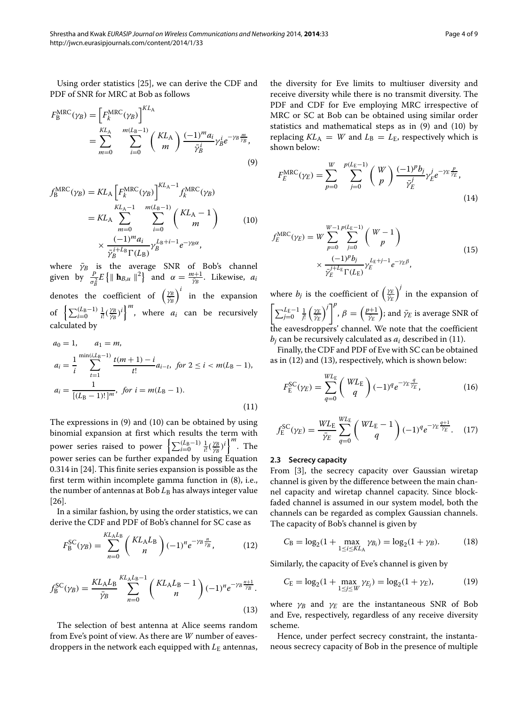Using order statistics [\[25\]](#page-8-24), we can derive the CDF and PDF of SNR for MRC at Bob as follows

$$
F_{\rm B}^{\rm MRC}(\gamma_B) = \left[F_k^{\rm MRC}(\gamma_B)\right]^{KL_A}
$$
  
= 
$$
\sum_{m=0}^{KL_A} \sum_{i=0}^{m(L_B-1)} \binom{KL_A}{m} \frac{(-1)^m a_i}{\bar{\gamma}_B^i} \gamma_B^i e^{-\gamma_B \frac{m}{\bar{\gamma}_B}},
$$
 (9)

<span id="page-3-1"></span>
$$
f_{\rm B}^{\rm MRC}(\gamma_B) = KL_{\rm A} \left[ F_k^{\rm MRC}(\gamma_B) \right]^{KL_{\rm A}-1} f_k^{\rm MRC}(\gamma_B)
$$
  
= 
$$
KL_{\rm A} \sum_{m=0}^{KL_{\rm A}-1} \sum_{i=0}^{m(L_{\rm B}-1)} \binom{KL_{\rm A}-1}{m}
$$
 (10)  

$$
\times \frac{(-1)^m a_i}{\bar{\gamma}_B^{i+L_{\rm B}} \Gamma(L_{\rm B})} \gamma_B^{L_{\rm B}+i-1} e^{-\gamma_B \alpha},
$$

where  $\bar{\gamma}_B$  is the average SNR of Bob's channel given by  $\frac{P}{\sigma_B^2} E\left\{ || \mathbf{h}_{B,u} ||^2 \right\}$  and  $\alpha = \frac{m+1}{\tilde{\gamma}_B}$ . Likewise,  $a_i$ denotes the coefficient of  $\left(\frac{\gamma_B}{\bar{\gamma_B}}\right)$  $i$ <sup>i</sup> in the expansion of  $\left\{\sum_{i=0}^{(L_{\text{B}}-1)} \frac{1}{i!} \left(\frac{\gamma_B}{\gamma_B}\right)^i \right\}^m$ , where *a<sub>i</sub>* can be recursively calculated by

<span id="page-3-2"></span>
$$
a_0 = 1, \t a_1 = m,
$$
  
\n
$$
a_i = \frac{1}{i} \sum_{t=1}^{\min(i, L_B - 1)} \frac{t(m+1) - i}{t!} a_{i-t}, \text{ for } 2 \le i < m(L_B - 1),
$$
  
\n
$$
a_i = \frac{1}{[(L_B - 1)!]^m}, \text{ for } i = m(L_B - 1).
$$
\n(11)

The expressions in [\(9\)](#page-3-0) and [\(10\)](#page-3-1) can be obtained by using binomial expansion at first which results the term with power series raised to power  $\left\{\sum_{i=0}^{(L_B-1)} \frac{1}{i!} (\frac{\gamma_B}{\gamma_B})^i \right\}^m$ . The power series can be further expanded by using Equation 0.314 in [\[24\]](#page-8-23). This finite series expansion is possible as the first term within incomplete gamma function in [\(8\)](#page-2-6), i.e., the number of antennas at  $Bob L<sub>B</sub>$  has always integer value [\[26\]](#page-8-25).

In a similar fashion, by using the order statistics, we can derive the CDF and PDF of Bob's channel for SC case as

$$
F_{\rm B}^{\rm SC}(\gamma_B) = \sum_{n=0}^{KL_{\rm A}L_{\rm B}} \binom{KL_{\rm A}L_{\rm B}}{n} (-1)^n e^{-\gamma_B \frac{n}{\gamma_B}},\tag{12}
$$

<span id="page-3-4"></span>
$$
f_{B}^{SC}(\gamma_B) = \frac{KL_A L_B}{\bar{\gamma}_B} \sum_{n=0}^{KL_A L_B - 1} \binom{KL_A L_B - 1}{n} (-1)^n e^{-\gamma_B \frac{n+1}{\bar{\gamma}_B}}.
$$
\n(13)

The selection of best antenna at Alice seems random from Eve's point of view. As there are *W* number of eavesdroppers in the network each equipped with  $L<sub>E</sub>$  antennas, <span id="page-3-0"></span>the diversity for Eve limits to multiuser diversity and receive diversity while there is no transmit diversity. The PDF and CDF for Eve employing MRC irrespective of MRC or SC at Bob can be obtained using similar order statistics and mathematical steps as in [\(9\)](#page-3-0) and [\(10\)](#page-3-1) by replacing  $KL_A = W$  and  $L_B = L_E$ , respectively which is shown below:

$$
F_E^{\text{MRC}}(\gamma_E) = \sum_{p=0}^{W} \sum_{j=0}^{p(L_E - 1)} \binom{W}{p} \frac{(-1)^p b_j}{\bar{\gamma}_E^j} \gamma_E^j e^{-\gamma_E \frac{p}{\bar{\gamma}_E}},\tag{14}
$$

<span id="page-3-5"></span>
$$
f_E^{\text{MRC}}(\gamma_E) = W \sum_{p=0}^{W-1} \sum_{j=0}^{p(L_E-1)} \binom{W-1}{p} \\ \times \frac{(-1)^p b_j}{\bar{\gamma}_E^{j+L_E} \Gamma(L_E)} \gamma_E^{L_E+j-1} e^{-\gamma_E \beta}, \tag{15}
$$

where  $b_j$  is the coefficient of  $\left(\frac{\gamma_E}{\tilde{\gamma}_E}\right)$  $j'$  in the expansion of  $\left[\sum_{j=0}^{L_{\text{E}}-1}\frac{1}{j!}\left(\frac{\gamma_E}{\bar{\gamma}_E}\right)\right]$  $\bar{\gamma}_E$  $\bigcap^{p}$ ,  $\beta = \left(\frac{p+1}{\bar{\gamma}_E}\right)$  $\bar{\gamma}_E$ ); and  $\bar{\gamma}_E$  is average SNR of the eavesdroppers' channel. We note that the coefficient  $b_i$  can be recursively calculated as  $a_i$  described in [\(11\)](#page-3-2).

Finally, the CDF and PDF of Eve with SC can be obtained as in [\(12\)](#page-3-3) and [\(13\)](#page-3-4), respectively, which is shown below:

$$
F_{\rm E}^{\rm SC}(\gamma_E) = \sum_{q=0}^{WL_{\rm E}} \binom{WL_{\rm E}}{q} (-1)^q e^{-\gamma_E \frac{q}{\gamma_E}},\tag{16}
$$

$$
f_{\rm E}^{\rm SC}(\gamma_E) = \frac{W L_{\rm E}}{\bar{\gamma}_E} \sum_{q=0}^{W L_{\rm E}} \binom{W L_{\rm E} - 1}{q} (-1)^q e^{-\gamma_E \frac{q+1}{\bar{\gamma}_E}}. \quad (17)
$$

#### **2.3 Secrecy capacity**

From [\[3\]](#page-8-2), the secrecy capacity over Gaussian wiretap channel is given by the difference between the main channel capacity and wiretap channel capacity. Since blockfaded channel is assumed in our system model, both the channels can be regarded as complex Gaussian channels. The capacity of Bob's channel is given by

<span id="page-3-3"></span>
$$
C_{\rm B} = \log_2(1 + \max_{1 \le i \le KL_{\rm A}} \gamma_{B_i}) = \log_2(1 + \gamma_B). \tag{18}
$$

Similarly, the capacity of Eve's channel is given by

$$
C_{E} = \log_2(1 + \max_{1 \le j \le W} \gamma_{E_j}) = \log_2(1 + \gamma_E),
$$
 (19)

where  $\gamma_B$  and  $\gamma_E$  are the instantaneous SNR of Bob and Eve, respectively, regardless of any receive diversity scheme.

Hence, under perfect secrecy constraint, the instantaneous secrecy capacity of Bob in the presence of multiple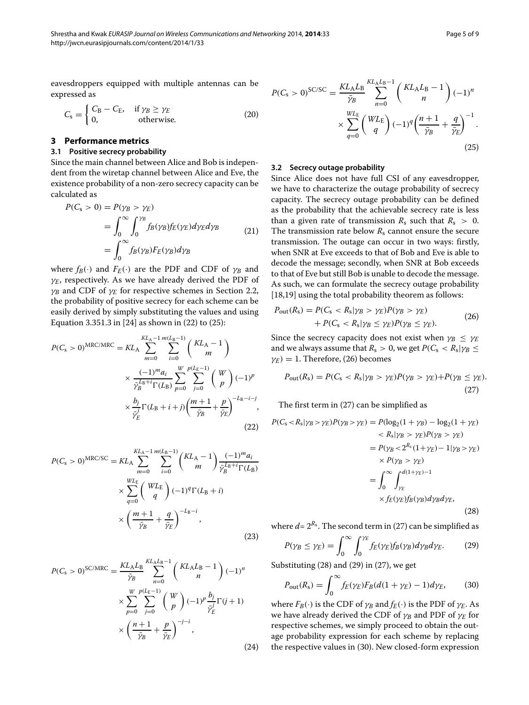eavesdroppers equipped with multiple antennas can be expressed as

$$
C_{\rm s} = \begin{cases} C_{\rm B} - C_{\rm E}, & \text{if } \gamma_B \ge \gamma_E \\ 0, & \text{otherwise.} \end{cases}
$$
 (20)

# **3 Performance metrics**

## **3.1 Positive secrecy probability**

Since the main channel between Alice and Bob is independent from the wiretap channel between Alice and Eve, the existence probability of a non-zero secrecy capacity can be calculated as

$$
P(C_{s} > 0) = P(\gamma_{B} > \gamma_{E})
$$
  
= 
$$
\int_{0}^{\infty} \int_{0}^{\gamma_{B}} f_{B}(\gamma_{B}) f_{E}(\gamma_{E}) d\gamma_{E} d\gamma_{B}
$$
  
= 
$$
\int_{0}^{\infty} f_{B}(\gamma_{B}) F_{E}(\gamma_{B}) d\gamma_{B}
$$
 (21)

where  $f_B(\cdot)$  and  $F_E(\cdot)$  are the PDF and CDF of  $\gamma_B$  and γ*E*, respectively. As we have already derived the PDF of  $\gamma_B$  and CDF of  $\gamma_E$  for respective schemes in Section [2.2,](#page-2-7) the probability of positive secrecy for each scheme can be easily derived by simply substituting the values and using Equation 3.351.3 in [\[24\]](#page-8-23) as shown in [\(22\)](#page-4-0) to [\(25\)](#page-4-1):

$$
P(C_{s} > 0)^{\text{MRC/MRC}} = KL_{A} \sum_{m=0}^{KL_{A} - 1} \sum_{i=0}^{m(L_{B} - 1)} {KL_{A} - 1 \choose m} \times \frac{(-1)^{m} a_{i}}{\bar{\gamma}_{B}^{L_{B} + i} \Gamma(L_{B})} \sum_{p=0}^{W} \sum_{j=0}^{p(L_{E} - 1)} {W \choose p} (-1)^{p} \times \frac{b_{j}}{\bar{\gamma}_{E}^{j}} \Gamma(L_{B} + i + j) \left(\frac{m+1}{\bar{\gamma}_{B}} + \frac{p}{\bar{\gamma}_{E}}\right)^{-L_{B} - i - j},
$$
\n(22)

$$
P(C_{\rm s} > 0)^{\rm MRC/SC} = KL_{\rm A} \sum_{m=0}^{KL_{\rm A} - 1} \sum_{i=0}^{m(L_{\rm B} - 1)} {KL_{\rm A} - 1 \choose m} \frac{(-1)^m a_i}{\bar{\gamma}_B^{L_{\rm B} + i} \Gamma(L_{\rm B})} \times \sum_{q=0}^{WL_E} {WL_{\rm B} \choose q} (-1)^q \Gamma(L_{\rm B} + i) \times \left(\frac{m+1}{\bar{\gamma}_B} + \frac{q}{\bar{\gamma}_E}\right)^{-L_{\rm B} - i},
$$
\n(23)

$$
P(C_{s} > 0)^{SC/MRC} = \frac{KL_{A}L_{B}}{\bar{\gamma}_{B}} \sum_{n=0}^{KL_{A}L_{B} - 1} {KL_{A}L_{B} - 1 \choose n} (-1)^{n} \times \sum_{p=0}^{W} \sum_{j=0}^{p(L_{E} - 1)} {W \choose p} (-1)^{p} \frac{b_{j}}{\bar{\gamma}_{E}^{j}} \Gamma(j+1) \times \left(\frac{n+1}{\bar{\gamma}_{B}} + \frac{p}{\bar{\gamma}_{E}}\right)^{-j-i},
$$
\n(24)

<span id="page-4-1"></span>
$$
P(C_{\rm s} > 0)^{\rm SC/SC} = \frac{KL_{\rm A}L_{\rm B}}{\bar{\gamma}_{\rm B}} \sum_{n=0}^{KL_{\rm A}L_{\rm B}-1} \binom{KL_{\rm A}L_{\rm B}-1}{n} (-1)^n \times \sum_{q=0}^{WL_{\rm E}} \binom{WL_{\rm E}}{q} (-1)^q \left(\frac{n+1}{\bar{\gamma}_{\rm B}} + \frac{q}{\bar{\gamma}_{\rm E}}\right)^{-1}.
$$
\n(25)

#### **3.2 Secrecy outage probability**

Since Alice does not have full CSI of any eavesdropper, we have to characterize the outage probability of secrecy capacity. The secrecy outage probability can be defined as the probability that the achievable secrecy rate is less than a given rate of transmission  $R_s$  such that  $R_s > 0$ . The transmission rate below  $R_s$  cannot ensure the secure transmission. The outage can occur in two ways: firstly, when SNR at Eve exceeds to that of Bob and Eve is able to decode the message; secondly, when SNR at Bob exceeds to that of Eve but still Bob is unable to decode the message. As such, we can formulate the secrecy outage probability [\[18,](#page-8-17)[19\]](#page-8-18) using the total probability theorem as follows:

<span id="page-4-2"></span><span id="page-4-0"></span>
$$
P_{\text{out}}(R_{\text{s}}) = P(C_{\text{s}} < R_{\text{s}} | \gamma_B > \gamma_E) P(\gamma_B > \gamma_E) \\
+ P(C_{\text{s}} < R_{\text{s}} | \gamma_B \leq \gamma_E) P(\gamma_B \leq \gamma_E). \tag{26}
$$

Since the secrecy capacity does not exist when  $\gamma_B < \gamma_E$ and we always assume that  $R_s > 0$ , we get  $P(C_s < R_s | \gamma_B \leq$  $\gamma_E$ ) = 1. Therefore, [\(26\)](#page-4-2) becomes

<span id="page-4-4"></span><span id="page-4-3"></span>
$$
P_{\text{out}}(R_{\text{s}}) = P(C_{\text{s}} < R_{\text{s}} | \gamma_B > \gamma_E) P(\gamma_B > \gamma_E) + P(\gamma_B \leq \gamma_E). \tag{27}
$$

The first term in [\(27\)](#page-4-3) can be simplified as

$$
P(C_{s} < R_{s} | \gamma_{B} > \gamma_{E}) P(\gamma_{B} > \gamma_{E}) = P(\log_{2}(1 + \gamma_{B}) - \log_{2}(1 + \gamma_{E}))
$$
\n
$$
< R_{s} | \gamma_{B} > \gamma_{E}) P(\gamma_{B} > \gamma_{E})
$$
\n
$$
= P(\gamma_{B} < 2^{R_{s}}(1 + \gamma_{E}) - 1 | \gamma_{B} > \gamma_{E})
$$
\n
$$
\times P(\gamma_{B} > \gamma_{E})
$$
\n
$$
= \int_{0}^{\infty} \int_{\gamma_{E}}^{d(1 + \gamma_{E}) - 1} \times f_{E}(\gamma_{E}) f_{B}(\gamma_{B}) d\gamma_{B} d\gamma_{E},
$$
\n(28)

where  $d = 2^{R_s}$ . The second term in [\(27\)](#page-4-3) can be simplified as

<span id="page-4-5"></span>
$$
P(\gamma_B \le \gamma_E) = \int_0^\infty \int_0^{\gamma_E} f_E(\gamma_E) f_B(\gamma_B) d\gamma_B d\gamma_E. \tag{29}
$$

Substituting [\(28\)](#page-4-4) and [\(29\)](#page-4-5) in [\(27\)](#page-4-3), we get

<span id="page-4-6"></span>
$$
P_{\text{out}}(R_{\text{s}}) = \int_0^\infty f_E(\gamma_E) F_B(d(1+\gamma_E) - 1) d\gamma_E, \tag{30}
$$

where  $F_B(\cdot)$  is the CDF of  $\gamma_B$  and  $f_E(\cdot)$  is the PDF of  $\gamma_E$ . As we have already derived the CDF of γ*<sup>B</sup>* and PDF of γ*<sup>E</sup>* for respective schemes, we simply proceed to obtain the outage probability expression for each scheme by replacing the respective values in [\(30\)](#page-4-6). New closed-form expression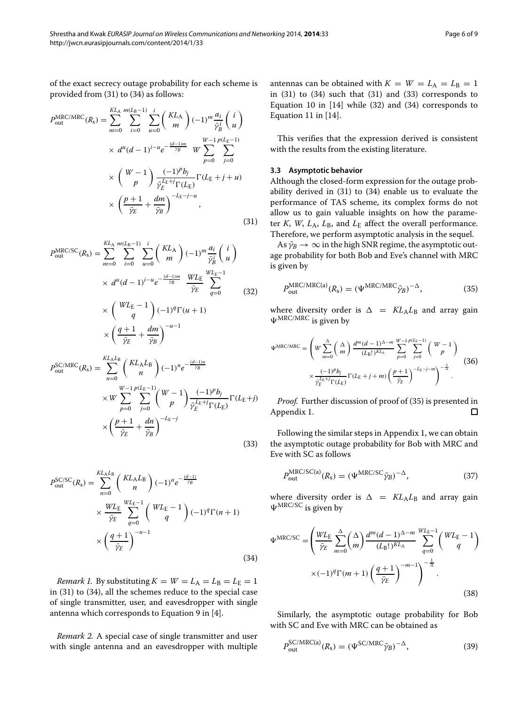of the exact secrecy outage probability for each scheme is provided from [\(31\)](#page-5-0) to [\(34\)](#page-5-1) as follows:

$$
P_{\text{out}}^{\text{MRC/MRC}}(R_{\text{s}}) = \sum_{m=0}^{KL_{\text{A}}} \sum_{i=0}^{m(L_{\text{B}}-1)} \sum_{u=0}^{i} {KL_{\text{A}} \choose m} (-1)^{m} \frac{a_{i}}{\bar{y}_{B}^{i}} {u \choose u}
$$
  
 
$$
\times d^{u} (d-1)^{i-u} e^{-\frac{(d-1)m}{\bar{y}_{B}}} W \sum_{p=0}^{W-1} \sum_{j=0}^{p(L_{\text{E}}-1)} \times {W-1 \choose p} \frac{(-1)^{p} b_{j}}{\bar{y}_{E}^{L} + j \Gamma(L_{\text{E}})} \Gamma(L_{\text{E}} + j + u)
$$
  
 
$$
\times \left(\frac{p+1}{\bar{y}_{E}} + \frac{dm}{\bar{y}_{B}}\right)^{-L_{\text{E}}-j-u}, \tag{31}
$$

<span id="page-5-3"></span>
$$
P_{\text{out}}^{\text{MRC/SC}}(R_{\text{s}}) = \sum_{m=0}^{KL_{\text{A}}} \sum_{i=0}^{m(L_{\text{B}}-1)} \sum_{u=0}^{i} {KL_{\text{A}} \choose m} (-1)^{m} \frac{a_{i}}{\bar{\gamma}_{B}^{i}} {u \choose u}
$$
  
  $\times d^{u} (d-1)^{i-u} e^{-\frac{(d-1)m}{\bar{\gamma}_{B}}} \frac{WL_{\text{E}}}{\bar{\gamma}_{\text{E}}} \sum_{q=0}^{WL_{\text{E}}-1}$   
  $\times {WL_{\text{E}}-1 \choose q} (-1)^{q} \Gamma(u+1)$   
  $\times \left(\frac{q+1}{\bar{\gamma}_{\text{E}}} + \frac{dm}{\bar{\gamma}_{B}}\right)^{-u-1}$ 

<span id="page-5-2"></span>
$$
P_{\text{out}}^{\text{SC/MRC}}(R_{\text{s}}) = \sum_{n=0}^{KL_{\text{A}}L_{\text{B}}} \binom{KL_{\text{A}}L_{\text{B}}}{n} (-1)^{n} e^{-\frac{(d-1)n}{\gamma_{\text{B}}}} \\ \times W \sum_{p=0}^{W-1} \sum_{j=0}^{p(L_{\text{E}}-1)} \binom{W-1}{p} \frac{(-1)^{p} b_{j}}{\bar{\gamma}_{E}^{L_{\text{E}}} + \bar{\gamma}_{\text{E}} \Gamma(L_{\text{E}} + j)} \\ \times \left(\frac{p+1}{\bar{\gamma}_{E}} + \frac{dn}{\bar{\gamma}_{B}}\right)^{-L_{\text{E}} - j} \tag{33}
$$

<span id="page-5-1"></span>
$$
P_{\text{out}}^{\text{SC/SC}}(R_{\text{s}}) = \sum_{n=0}^{KL_{\text{A}}L_{\text{B}}} \binom{KL_{\text{A}}L_{\text{B}}}{n} (-1)^{n} e^{-\frac{(d-1)}{\gamma_{\text{B}}}}
$$

$$
\times \frac{WL_{\text{E}}}{\bar{\gamma}_{\text{E}}} \sum_{q=0}^{WL_{\text{E}}-1} \binom{WL_{\text{E}}-1}{q} (-1)^{q} \Gamma(n+1)
$$

$$
\times \left(\frac{q+1}{\bar{\gamma}_{\text{E}}}\right)^{-n-1}
$$
(34)

*Remark 1.* By substituting  $K = W = L_A = L_B = L_E = 1$ in [\(31\)](#page-5-0) to [\(34\)](#page-5-1), all the schemes reduce to the special case of single transmitter, user, and eavesdropper with single antenna which corresponds to Equation [9](#page-3-0) in [\[4\]](#page-8-3).

*Remark 2.* A special case of single transmitter and user with single antenna and an eavesdropper with multiple

<span id="page-5-0"></span>antennas can be obtained with  $K = W = L_A = L_B = 1$ in [\(31\)](#page-5-0) to [\(34\)](#page-5-1) such that [\(31\)](#page-5-0) and [\(33\)](#page-5-2) corresponds to Equation [10](#page-3-1) in [\[14\]](#page-8-13) while [\(32\)](#page-5-3) and [\(34\)](#page-5-1) corresponds to Equation [11](#page-3-2) in [\[14\]](#page-8-13).

This verifies that the expression derived is consistent with the results from the existing literature.

## **3.3 Asymptotic behavior**

Although the closed-form expression for the outage probability derived in [\(31\)](#page-5-0) to [\(34\)](#page-5-1) enable us to evaluate the performance of TAS scheme, its complex forms do not allow us to gain valuable insights on how the parameter *K*, *W*,  $L_A$ ,  $L_B$ , and  $L_E$  affect the overall performance. Therefore, we perform asymptotic analysis in the sequel.

As  $\bar{\gamma}_B \rightarrow \infty$  in the high SNR regime, the asymptotic outage probability for both Bob and Eve's channel with MRC is given by

<span id="page-5-4"></span>
$$
P_{\text{out}}^{\text{MRC/MRC(a)}}(R_{\text{s}}) = (\Psi^{\text{MRC/MRC}} \bar{\gamma}_B)^{-\Delta}, \tag{35}
$$

where diversity order is  $\Delta = KL_A L_B$  and array gain  $\Psi^{\text{MRC/MRC}}$  is given by

$$
\Psi^{\text{MRC/MRC}} = \left( W \sum_{m=0}^{\Delta} \left( \frac{\Delta}{m} \right) \frac{d^m (d-1)^{\Delta - m}}{(L_B!)^{KL_A}} \sum_{p=0}^{W-1} \sum_{j=0}^{p(L_E - 1)} \left( \frac{W-1}{p} \right) \times \frac{(-1)^p b_j}{\bar{r}_E^{L_B + j} \Gamma(L_E)} \Gamma(L_E + j + m) \left( \frac{p+1}{\bar{r}_E} \right)^{-L_E - j - m} \right)^{-\frac{1}{\Delta}}.
$$
\n(36)

*Proof.* Further discussion of proof of [\(35\)](#page-5-4) is presented in [Appendix 1.](#page-8-26)  $\Box$ 

Following the similar steps in [Appendix 1,](#page-8-26) we can obtain the asymptotic outage probability for Bob with MRC and Eve with SC as follows

<span id="page-5-5"></span>
$$
P_{\text{out}}^{\text{MRC/SC(a)}}(R_{\text{s}}) = (\Psi^{\text{MRC/SC}} \bar{\gamma}_B)^{-\Delta},\tag{37}
$$

where diversity order is  $\Delta = KL_A L_B$  and array gain  $\Psi^{\text{MRC/SC}}$  is given by

$$
\Psi^{\text{MRC/SC}} = \left(\frac{WL_{\text{E}}}{\bar{\gamma}_{E}} \sum_{m=0}^{\Delta} {\Delta \choose m} \frac{d^{m} (d-1)^{\Delta-m}}{(L_{\text{B}}!)^{KL_{\text{A}}}} \sum_{q=0}^{WL_{\text{E}}-1} {\binom{WL_{\text{E}}-1}{q}}
$$

$$
\times (-1)^{q} \Gamma(m+1) {\left(\frac{q+1}{\bar{\gamma}_{E}}\right)}^{-m-1} \right)^{-\frac{1}{\Delta}}.
$$
(38)

Similarly, the asymptotic outage probability for Bob with SC and Eve with MRC can be obtained as

<span id="page-5-6"></span>
$$
P_{\text{out}}^{\text{SC/MRC(a)}}(R_{\text{s}}) = (\Psi^{\text{SC/MRC}} \bar{\gamma}_B)^{-\Delta},\tag{39}
$$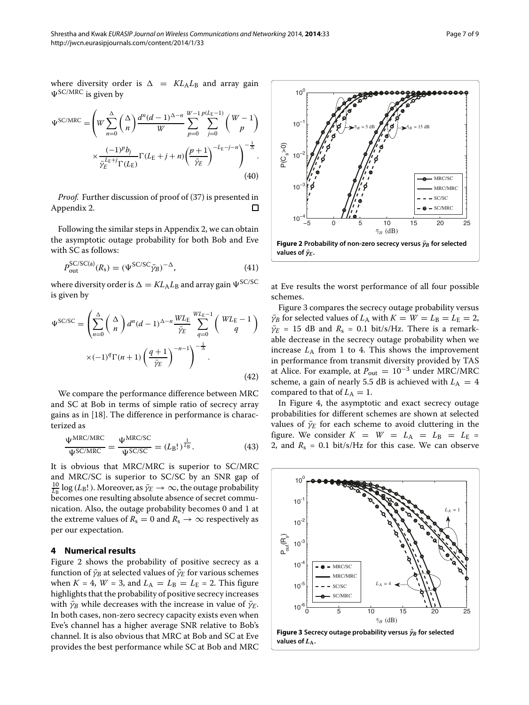where diversity order is  $\Delta$  =  $KL_A L_B$  and array gain  $\Psi^{\rm SC/MRC}$  is given by

$$
\Psi^{\text{SC/MRC}} = \left(W \sum_{n=0}^{\Delta} \binom{\Delta}{n} \frac{d^n (d-1)^{\Delta-n}}{W} \sum_{p=0}^{W-1} \sum_{j=0}^{p(L_E-1)} \binom{W-1}{p} \times \frac{(-1)^p b_j}{\bar{\gamma}_E^{L_E+j} \Gamma(L_E)} \Gamma(L_E+j+n) \left(\frac{p+1}{\bar{\gamma}_E}\right)^{-L_E-j-n} \right)^{-\frac{1}{\Delta}}.
$$
\n(40)

*Proof.* Further discussion of proof of [\(37\)](#page-5-5) is presented in [Appendix 2.](#page-8-27) П

Following the similar steps in [Appendix 2,](#page-8-27) we can obtain the asymptotic outage probability for both Bob and Eve with SC as follows:

<span id="page-6-2"></span>
$$
P_{\text{out}}^{\text{SC/SC(a)}}(R_{\text{s}}) = (\Psi^{\text{SC/SC}} \bar{\gamma}_B)^{-\Delta},\tag{41}
$$

where diversity order is  $\Delta = KL_A L_B$  and array gain  $\Psi^{\rm SC/SC}$ is given by

$$
\Psi^{SC/SC} = \left(\sum_{n=0}^{\Delta} \binom{\Delta}{n} d^n (d-1)^{\Delta-n} \frac{WL_E}{\bar{\gamma}_E} \sum_{q=0}^{WL_E - 1} \binom{WL_E - 1}{q}
$$

$$
\times (-1)^q \Gamma(n+1) \left(\frac{q+1}{\bar{\gamma}_E}\right)^{-n-1}\right)^{-\frac{1}{\Delta}}.
$$
(42)

We compare the performance difference between MRC and SC at Bob in terms of simple ratio of secrecy array gains as in [\[18\]](#page-8-17). The difference in performance is characterized as

$$
\frac{\Psi^{MRC/MRC}}{\Psi^{SC/MRC}} = \frac{\Psi^{MRC/SC}}{\Psi^{SC/SC}} = (L_B!)^{\frac{1}{L_B}}.
$$
\n(43)

It is obvious that MRC/MRC is superior to SC/MRC and MRC/SC is superior to SC/SC by an SNR gap of  $\frac{10}{L_{\rm B}}\log{(L_{\rm B}!)}$ . Moreover, as  $\bar{\gamma}_E\to\infty$ , the outage probability becomes one resulting absolute absence of secret communication. Also, the outage probability becomes 0 and 1 at the extreme values of  $R_s = 0$  and  $R_s \rightarrow \infty$  respectively as per our expectation.

# **4 Numerical results**

Figure [2](#page-6-0) shows the probability of positive secrecy as a function of  $\bar{\gamma}_B$  at selected values of  $\bar{\gamma}_E$  for various schemes when  $K = 4$ ,  $W = 3$ , and  $L_A = L_B = L_E = 2$ . This figure highlights that the probability of positive secrecy increases with  $\bar{\gamma}_B$  while decreases with the increase in value of  $\bar{\gamma}_E$ . In both cases, non-zero secrecy capacity exists even when Eve's channel has a higher average SNR relative to Bob's channel. It is also obvious that MRC at Bob and SC at Eve provides the best performance while SC at Bob and MRC



<span id="page-6-0"></span>at Eve results the worst performance of all four possible schemes.

Figure [3](#page-6-1) compares the secrecy outage probability versus  $\bar{\gamma}_B$  for selected values of  $L_A$  with  $K = W = L_B = L_E = 2$ ,  $\bar{\gamma}_E$  = 15 dB and  $R_s$  = 0.1 bit/s/Hz. There is a remarkable decrease in the secrecy outage probability when we increase  $L_A$  from 1 to 4. This shows the improvement in performance from transmit diversity provided by TAS at Alice. For example, at  $P_{\text{out}} = 10^{-3}$  under MRC/MRC scheme, a gain of nearly 5.5 dB is achieved with  $L_A = 4$ compared to that of  $L_A = 1$ .

In Figure [4,](#page-7-0) the asymptotic and exact secrecy outage probabilities for different schemes are shown at selected values of  $\bar{\gamma}_E$  for each scheme to avoid cluttering in the figure. We consider  $K = W = L_A = L_B = L_E =$ 2, and  $R_s = 0.1$  bit/s/Hz for this case. We can observe

<span id="page-6-1"></span>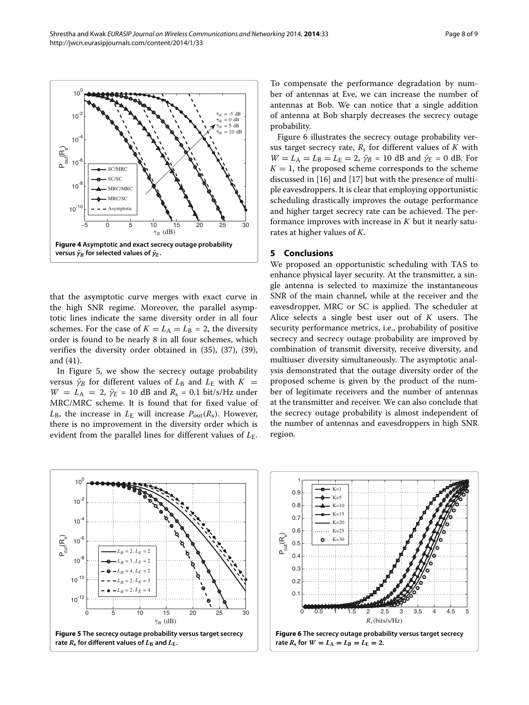

<span id="page-7-0"></span>that the asymptotic curve merges with exact curve in the high SNR regime. Moreover, the parallel asymptotic lines indicate the same diversity order in all four schemes. For the case of  $K = L_A = L_B = 2$ , the diversity order is found to be nearly 8 in all four schemes, which verifies the diversity order obtained in [\(35\)](#page-5-4), [\(37\)](#page-5-5), [\(39\)](#page-5-6), and [\(41\)](#page-6-2).

In Figure [5,](#page-7-1) we show the secrecy outage probability versus  $\bar{\gamma}_B$  for different values of  $L_B$  and  $L_E$  with  $K =$  $W = L_A = 2$ ,  $\bar{\gamma}_E = 10$  dB and  $R_s = 0.1$  bit/s/Hz under MRC/MRC scheme. It is found that for fixed value of  $L_{\rm B}$ , the increase in  $L_{\rm E}$  will increase  $P_{\rm out}(R_{\rm s})$ . However, there is no improvement in the diversity order which is evident from the parallel lines for different values of  $L_{\text{E}}$ .

To compensate the performance degradation by number of antennas at Eve, we can increase the number of antennas at Bob. We can notice that a single addition of antenna at Bob sharply decreases the secrecy outage probability.

Figure [6](#page-7-2) illustrates the secrecy outage probability versus target secrecy rate,  $R_s$  for different values of  $K$  with  $W = L_A = L_B = L_E = 2$ ,  $\bar{\gamma}_B = 10$  dB and  $\bar{\gamma}_E = 0$  dB. For  $K = 1$ , the proposed scheme corresponds to the scheme discussed in [\[16\]](#page-8-15) and [\[17\]](#page-8-16) but with the presence of multiple eavesdroppers. It is clear that employing opportunistic scheduling drastically improves the outage performance and higher target secrecy rate can be achieved. The performance improves with increase in *K* but it nearly saturates at higher values of *K*.

#### **5 Conclusions**

We proposed an opportunistic scheduling with TAS to enhance physical layer security. At the transmitter, a single antenna is selected to maximize the instantaneous SNR of the main channel, while at the receiver and the eavesdropper, MRC or SC is applied. The scheduler at Alice selects a single best user out of *K* users. The security performance metrics, i.e., probability of positive secrecy and secrecy outage probability are improved by combination of transmit diversity, receive diversity, and multiuser diversity simultaneously. The asymptotic analysis demonstrated that the outage diversity order of the proposed scheme is given by the product of the number of legitimate receivers and the number of antennas at the transmitter and receiver. We can also conclude that the secrecy outage probability is almost independent of the number of antennas and eavesdroppers in high SNR region.

<span id="page-7-1"></span>

<span id="page-7-2"></span>